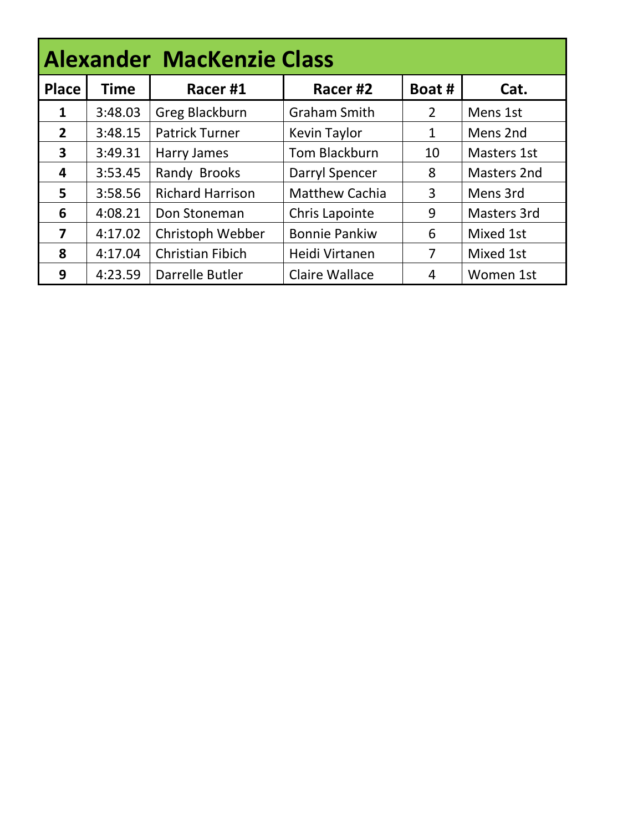| <b>Alexander MacKenzie Class</b> |             |                         |                       |                |                    |  |  |  |  |
|----------------------------------|-------------|-------------------------|-----------------------|----------------|--------------------|--|--|--|--|
| <b>Place</b>                     | <b>Time</b> | Racer#1                 | Racer <sub>#2</sub>   | Boat #         | Cat.               |  |  |  |  |
| $\mathbf{1}$                     | 3:48.03     | Greg Blackburn          | <b>Graham Smith</b>   | $\overline{2}$ | Mens 1st           |  |  |  |  |
| $\overline{2}$                   | 3:48.15     | <b>Patrick Turner</b>   | Kevin Taylor          | 1              | Mens 2nd           |  |  |  |  |
| 3                                | 3:49.31     | Harry James             | Tom Blackburn         | 10             | <b>Masters 1st</b> |  |  |  |  |
| 4                                | 3:53.45     | Randy Brooks            | Darryl Spencer        | 8              | Masters 2nd        |  |  |  |  |
| 5                                | 3:58.56     | <b>Richard Harrison</b> | <b>Matthew Cachia</b> | 3              | Mens 3rd           |  |  |  |  |
| 6                                | 4:08.21     | Don Stoneman            | Chris Lapointe        | 9              | Masters 3rd        |  |  |  |  |
| 7                                | 4:17.02     | Christoph Webber        | <b>Bonnie Pankiw</b>  | 6              | Mixed 1st          |  |  |  |  |
| 8                                | 4:17.04     | <b>Christian Fibich</b> | Heidi Virtanen        | 7              | Mixed 1st          |  |  |  |  |
| 9                                | 4:23.59     | Darrelle Butler         | <b>Claire Wallace</b> | 4              | Women 1st          |  |  |  |  |